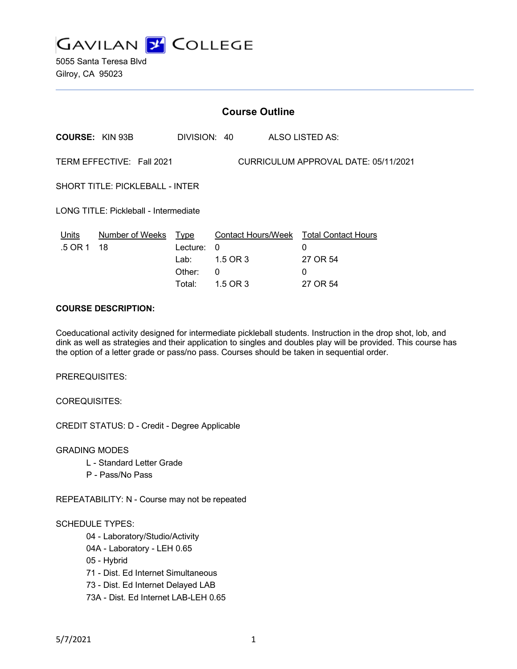

5055 Santa Teresa Blvd Gilroy, CA 95023

|                                                                   | <b>Course Outline</b> |                          |  |                                                         |
|-------------------------------------------------------------------|-----------------------|--------------------------|--|---------------------------------------------------------|
| <b>COURSE: KIN 93B</b>                                            |                       | DIVISION: 40             |  | ALSO LISTED AS:                                         |
| TERM EFFECTIVE: Fall 2021<br>CURRICULUM APPROVAL DATE: 05/11/2021 |                       |                          |  |                                                         |
| SHORT TITLE: PICKLEBALL - INTER                                   |                       |                          |  |                                                         |
| LONG TITLE: Pickleball - Intermediate                             |                       |                          |  |                                                         |
| Number of Weeks Type<br>Units<br>.5 OR 1<br>18                    | Lecture:<br>Lab: I    | $\mathbf{0}$<br>1.5 OR 3 |  | Contact Hours/Week Total Contact Hours<br>0<br>27 OR 54 |
|                                                                   | Other:<br>Total:      | 0<br>1.5 OR 3            |  | 0<br>27 OR 54                                           |

#### **COURSE DESCRIPTION:**

Coeducational activity designed for intermediate pickleball students. Instruction in the drop shot, lob, and dink as well as strategies and their application to singles and doubles play will be provided. This course has the option of a letter grade or pass/no pass. Courses should be taken in sequential order.

PREREQUISITES:

COREQUISITES:

CREDIT STATUS: D - Credit - Degree Applicable

GRADING MODES

- L Standard Letter Grade
- P Pass/No Pass

REPEATABILITY: N - Course may not be repeated

## SCHEDULE TYPES:

04 - Laboratory/Studio/Activity

- 04A Laboratory LEH 0.65
- 05 Hybrid

71 - Dist. Ed Internet Simultaneous

- 73 Dist. Ed Internet Delayed LAB
- 73A Dist. Ed Internet LAB-LEH 0.65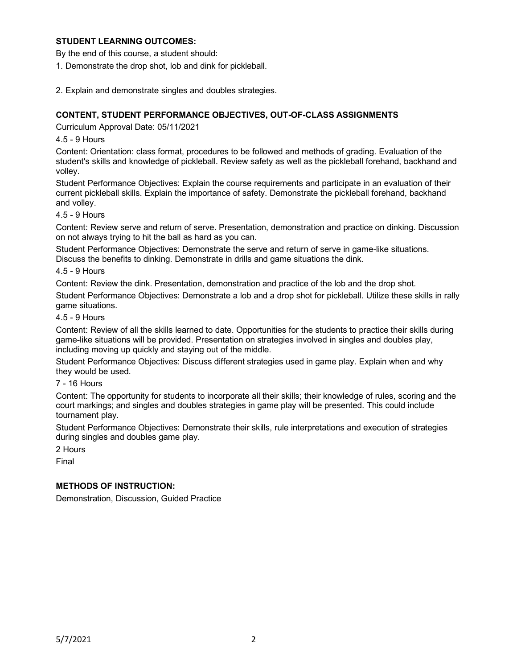## **STUDENT LEARNING OUTCOMES:**

By the end of this course, a student should:

- 1. Demonstrate the drop shot, lob and dink for pickleball.
- 2. Explain and demonstrate singles and doubles strategies.

# **CONTENT, STUDENT PERFORMANCE OBJECTIVES, OUT-OF-CLASS ASSIGNMENTS**

Curriculum Approval Date: 05/11/2021

4.5 - 9 Hours

Content: Orientation: class format, procedures to be followed and methods of grading. Evaluation of the student's skills and knowledge of pickleball. Review safety as well as the pickleball forehand, backhand and volley.

Student Performance Objectives: Explain the course requirements and participate in an evaluation of their current pickleball skills. Explain the importance of safety. Demonstrate the pickleball forehand, backhand and volley.

4.5 - 9 Hours

Content: Review serve and return of serve. Presentation, demonstration and practice on dinking. Discussion on not always trying to hit the ball as hard as you can.

Student Performance Objectives: Demonstrate the serve and return of serve in game-like situations. Discuss the benefits to dinking. Demonstrate in drills and game situations the dink.

#### 4.5 - 9 Hours

Content: Review the dink. Presentation, demonstration and practice of the lob and the drop shot.

Student Performance Objectives: Demonstrate a lob and a drop shot for pickleball. Utilize these skills in rally game situations.

#### 4.5 - 9 Hours

Content: Review of all the skills learned to date. Opportunities for the students to practice their skills during game-like situations will be provided. Presentation on strategies involved in singles and doubles play, including moving up quickly and staying out of the middle.

Student Performance Objectives: Discuss different strategies used in game play. Explain when and why they would be used.

7 - 16 Hours

Content: The opportunity for students to incorporate all their skills; their knowledge of rules, scoring and the court markings; and singles and doubles strategies in game play will be presented. This could include tournament play.

Student Performance Objectives: Demonstrate their skills, rule interpretations and execution of strategies during singles and doubles game play.

2 Hours

Final

## **METHODS OF INSTRUCTION:**

Demonstration, Discussion, Guided Practice